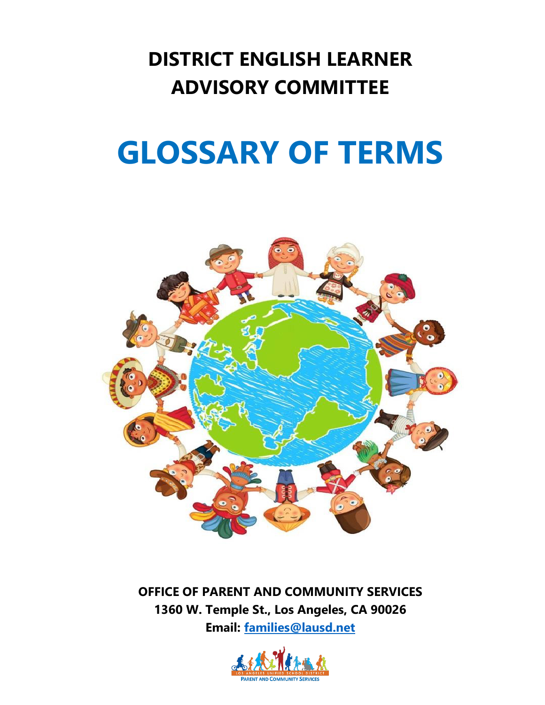## **DISTRICT ENGLISH LEARNER ADVISORY COMMITTEE**

## **GLOSSARY OF TERMS**



**OFFICE OF PARENT AND COMMUNITY SERVICES 1360 W. Temple St., Los Angeles, CA 90026 Email: [families@lausd.net](mailto:families@lausd.net)**

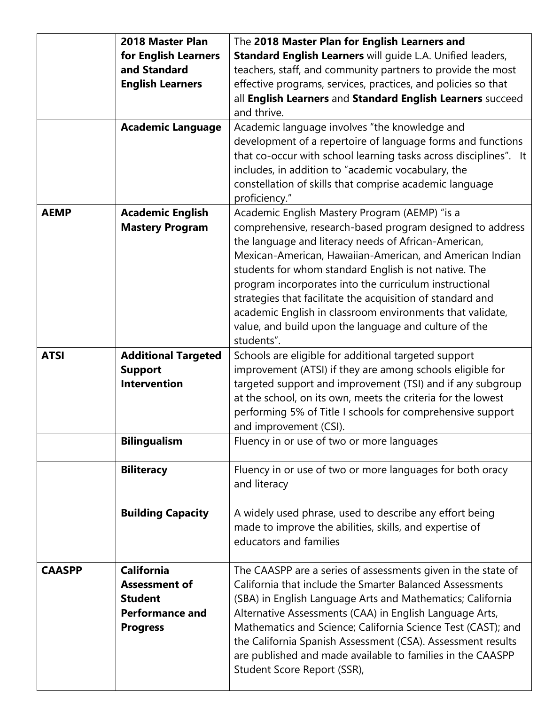|               | 2018 Master Plan                      | The 2018 Master Plan for English Learners and                                                                           |
|---------------|---------------------------------------|-------------------------------------------------------------------------------------------------------------------------|
|               | for English Learners                  | Standard English Learners will guide L.A. Unified leaders,                                                              |
|               | and Standard                          | teachers, staff, and community partners to provide the most                                                             |
|               | <b>English Learners</b>               | effective programs, services, practices, and policies so that                                                           |
|               |                                       | all English Learners and Standard English Learners succeed                                                              |
|               |                                       | and thrive.                                                                                                             |
|               | <b>Academic Language</b>              | Academic language involves "the knowledge and                                                                           |
|               |                                       | development of a repertoire of language forms and functions                                                             |
|               |                                       | that co-occur with school learning tasks across disciplines". It                                                        |
|               |                                       | includes, in addition to "academic vocabulary, the                                                                      |
|               |                                       | constellation of skills that comprise academic language                                                                 |
|               |                                       | proficiency."                                                                                                           |
| <b>AEMP</b>   | <b>Academic English</b>               | Academic English Mastery Program (AEMP) "is a                                                                           |
|               | <b>Mastery Program</b>                | comprehensive, research-based program designed to address                                                               |
|               |                                       | the language and literacy needs of African-American,                                                                    |
|               |                                       | Mexican-American, Hawaiian-American, and American Indian                                                                |
|               |                                       | students for whom standard English is not native. The                                                                   |
|               |                                       | program incorporates into the curriculum instructional                                                                  |
|               |                                       | strategies that facilitate the acquisition of standard and                                                              |
|               |                                       | academic English in classroom environments that validate,                                                               |
|               |                                       | value, and build upon the language and culture of the                                                                   |
|               |                                       | students".                                                                                                              |
| <b>ATSI</b>   | <b>Additional Targeted</b>            | Schools are eligible for additional targeted support                                                                    |
|               | <b>Support</b><br><b>Intervention</b> | improvement (ATSI) if they are among schools eligible for<br>targeted support and improvement (TSI) and if any subgroup |
|               |                                       | at the school, on its own, meets the criteria for the lowest                                                            |
|               |                                       | performing 5% of Title I schools for comprehensive support                                                              |
|               |                                       | and improvement (CSI).                                                                                                  |
|               | <b>Bilingualism</b>                   | Fluency in or use of two or more languages                                                                              |
|               |                                       |                                                                                                                         |
|               | <b>Biliteracy</b>                     | Fluency in or use of two or more languages for both oracy                                                               |
|               |                                       | and literacy                                                                                                            |
|               |                                       |                                                                                                                         |
|               | <b>Building Capacity</b>              | A widely used phrase, used to describe any effort being                                                                 |
|               |                                       | made to improve the abilities, skills, and expertise of                                                                 |
|               |                                       | educators and families                                                                                                  |
| <b>CAASPP</b> | <b>California</b>                     | The CAASPP are a series of assessments given in the state of                                                            |
|               | <b>Assessment of</b>                  | California that include the Smarter Balanced Assessments                                                                |
|               | <b>Student</b>                        | (SBA) in English Language Arts and Mathematics; California                                                              |
|               | <b>Performance and</b>                | Alternative Assessments (CAA) in English Language Arts,                                                                 |
|               | <b>Progress</b>                       | Mathematics and Science; California Science Test (CAST); and                                                            |
|               |                                       | the California Spanish Assessment (CSA). Assessment results                                                             |
|               |                                       | are published and made available to families in the CAASPP                                                              |
|               |                                       | Student Score Report (SSR),                                                                                             |
|               |                                       |                                                                                                                         |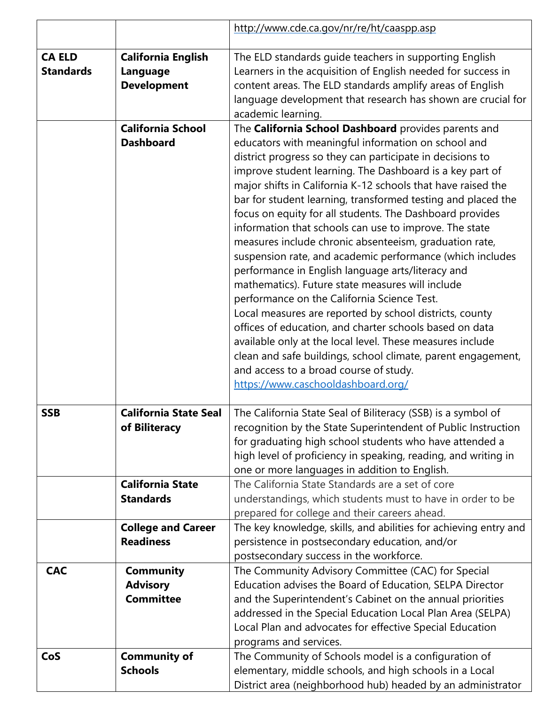|                                   |                                                             | http://www.cde.ca.gov/nr/re/ht/caaspp.asp                                                                                                                                                                                                                                                                                                                                                                                                                                                                                                                                                                                                                                                                                                                                                                                                                                                                                                                                                                                                                                                                    |
|-----------------------------------|-------------------------------------------------------------|--------------------------------------------------------------------------------------------------------------------------------------------------------------------------------------------------------------------------------------------------------------------------------------------------------------------------------------------------------------------------------------------------------------------------------------------------------------------------------------------------------------------------------------------------------------------------------------------------------------------------------------------------------------------------------------------------------------------------------------------------------------------------------------------------------------------------------------------------------------------------------------------------------------------------------------------------------------------------------------------------------------------------------------------------------------------------------------------------------------|
| <b>CA ELD</b><br><b>Standards</b> | <b>California English</b><br>Language<br><b>Development</b> | The ELD standards guide teachers in supporting English<br>Learners in the acquisition of English needed for success in<br>content areas. The ELD standards amplify areas of English<br>language development that research has shown are crucial for<br>academic learning.                                                                                                                                                                                                                                                                                                                                                                                                                                                                                                                                                                                                                                                                                                                                                                                                                                    |
|                                   | <b>California School</b><br><b>Dashboard</b>                | The California School Dashboard provides parents and<br>educators with meaningful information on school and<br>district progress so they can participate in decisions to<br>improve student learning. The Dashboard is a key part of<br>major shifts in California K-12 schools that have raised the<br>bar for student learning, transformed testing and placed the<br>focus on equity for all students. The Dashboard provides<br>information that schools can use to improve. The state<br>measures include chronic absenteeism, graduation rate,<br>suspension rate, and academic performance (which includes<br>performance in English language arts/literacy and<br>mathematics). Future state measures will include<br>performance on the California Science Test.<br>Local measures are reported by school districts, county<br>offices of education, and charter schools based on data<br>available only at the local level. These measures include<br>clean and safe buildings, school climate, parent engagement,<br>and access to a broad course of study.<br>https://www.caschooldashboard.org/ |
| <b>SSB</b>                        | <b>California State Seal</b><br>of Biliteracy               | The California State Seal of Biliteracy (SSB) is a symbol of<br>recognition by the State Superintendent of Public Instruction<br>for graduating high school students who have attended a<br>high level of proficiency in speaking, reading, and writing in<br>one or more languages in addition to English.                                                                                                                                                                                                                                                                                                                                                                                                                                                                                                                                                                                                                                                                                                                                                                                                  |
|                                   | <b>California State</b><br><b>Standards</b>                 | The California State Standards are a set of core<br>understandings, which students must to have in order to be<br>prepared for college and their careers ahead.                                                                                                                                                                                                                                                                                                                                                                                                                                                                                                                                                                                                                                                                                                                                                                                                                                                                                                                                              |
|                                   | <b>College and Career</b><br><b>Readiness</b>               | The key knowledge, skills, and abilities for achieving entry and<br>persistence in postsecondary education, and/or<br>postsecondary success in the workforce.                                                                                                                                                                                                                                                                                                                                                                                                                                                                                                                                                                                                                                                                                                                                                                                                                                                                                                                                                |
| <b>CAC</b>                        | <b>Community</b><br><b>Advisory</b><br><b>Committee</b>     | The Community Advisory Committee (CAC) for Special<br>Education advises the Board of Education, SELPA Director<br>and the Superintendent's Cabinet on the annual priorities<br>addressed in the Special Education Local Plan Area (SELPA)<br>Local Plan and advocates for effective Special Education<br>programs and services.                                                                                                                                                                                                                                                                                                                                                                                                                                                                                                                                                                                                                                                                                                                                                                              |
| CoS                               | <b>Community of</b><br><b>Schools</b>                       | The Community of Schools model is a configuration of<br>elementary, middle schools, and high schools in a Local<br>District area (neighborhood hub) headed by an administrator                                                                                                                                                                                                                                                                                                                                                                                                                                                                                                                                                                                                                                                                                                                                                                                                                                                                                                                               |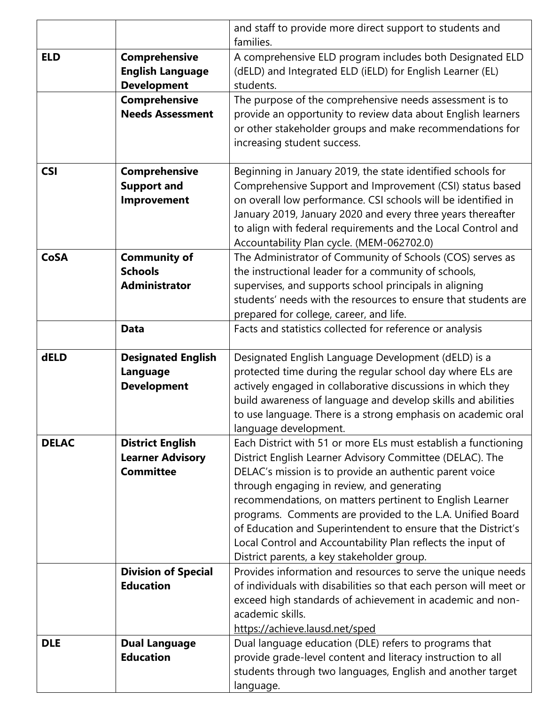|              |                                                                        | and staff to provide more direct support to students and<br>families.                                                                                                                                                                                                                                                                                                                                                                                                                                                                      |
|--------------|------------------------------------------------------------------------|--------------------------------------------------------------------------------------------------------------------------------------------------------------------------------------------------------------------------------------------------------------------------------------------------------------------------------------------------------------------------------------------------------------------------------------------------------------------------------------------------------------------------------------------|
| <b>ELD</b>   | Comprehensive<br><b>English Language</b><br><b>Development</b>         | A comprehensive ELD program includes both Designated ELD<br>(dELD) and Integrated ELD (iELD) for English Learner (EL)<br>students.                                                                                                                                                                                                                                                                                                                                                                                                         |
|              | <b>Comprehensive</b><br><b>Needs Assessment</b>                        | The purpose of the comprehensive needs assessment is to<br>provide an opportunity to review data about English learners<br>or other stakeholder groups and make recommendations for<br>increasing student success.                                                                                                                                                                                                                                                                                                                         |
| <b>CSI</b>   | <b>Comprehensive</b><br><b>Support and</b><br>Improvement              | Beginning in January 2019, the state identified schools for<br>Comprehensive Support and Improvement (CSI) status based<br>on overall low performance. CSI schools will be identified in<br>January 2019, January 2020 and every three years thereafter<br>to align with federal requirements and the Local Control and<br>Accountability Plan cycle. (MEM-062702.0)                                                                                                                                                                       |
| <b>CoSA</b>  | <b>Community of</b><br><b>Schools</b><br><b>Administrator</b>          | The Administrator of Community of Schools (COS) serves as<br>the instructional leader for a community of schools,<br>supervises, and supports school principals in aligning<br>students' needs with the resources to ensure that students are<br>prepared for college, career, and life.                                                                                                                                                                                                                                                   |
|              | <b>Data</b>                                                            | Facts and statistics collected for reference or analysis                                                                                                                                                                                                                                                                                                                                                                                                                                                                                   |
| dELD         | <b>Designated English</b><br>Language<br><b>Development</b>            | Designated English Language Development (dELD) is a<br>protected time during the regular school day where ELs are<br>actively engaged in collaborative discussions in which they<br>build awareness of language and develop skills and abilities<br>to use language. There is a strong emphasis on academic oral<br>language development.                                                                                                                                                                                                  |
| <b>DELAC</b> | <b>District English</b><br><b>Learner Advisory</b><br><b>Committee</b> | Each District with 51 or more ELs must establish a functioning<br>District English Learner Advisory Committee (DELAC). The<br>DELAC's mission is to provide an authentic parent voice<br>through engaging in review, and generating<br>recommendations, on matters pertinent to English Learner<br>programs. Comments are provided to the L.A. Unified Board<br>of Education and Superintendent to ensure that the District's<br>Local Control and Accountability Plan reflects the input of<br>District parents, a key stakeholder group. |
|              | <b>Division of Special</b><br><b>Education</b>                         | Provides information and resources to serve the unique needs<br>of individuals with disabilities so that each person will meet or<br>exceed high standards of achievement in academic and non-<br>academic skills.<br>https://achieve.lausd.net/sped                                                                                                                                                                                                                                                                                       |
| <b>DLE</b>   | <b>Dual Language</b><br><b>Education</b>                               | Dual language education (DLE) refers to programs that<br>provide grade-level content and literacy instruction to all<br>students through two languages, English and another target<br>language.                                                                                                                                                                                                                                                                                                                                            |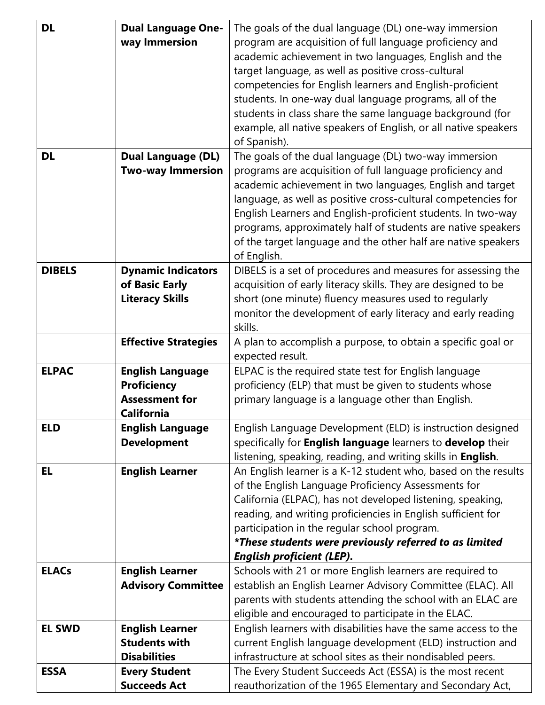| <b>DL</b>     | <b>Dual Language One-</b>   | The goals of the dual language (DL) one-way immersion           |
|---------------|-----------------------------|-----------------------------------------------------------------|
|               | way Immersion               | program are acquisition of full language proficiency and        |
|               |                             | academic achievement in two languages, English and the          |
|               |                             | target language, as well as positive cross-cultural             |
|               |                             | competencies for English learners and English-proficient        |
|               |                             | students. In one-way dual language programs, all of the         |
|               |                             |                                                                 |
|               |                             | students in class share the same language background (for       |
|               |                             | example, all native speakers of English, or all native speakers |
|               |                             | of Spanish).                                                    |
| <b>DL</b>     | <b>Dual Language (DL)</b>   | The goals of the dual language (DL) two-way immersion           |
|               | <b>Two-way Immersion</b>    | programs are acquisition of full language proficiency and       |
|               |                             | academic achievement in two languages, English and target       |
|               |                             | language, as well as positive cross-cultural competencies for   |
|               |                             | English Learners and English-proficient students. In two-way    |
|               |                             | programs, approximately half of students are native speakers    |
|               |                             | of the target language and the other half are native speakers   |
|               |                             | of English.                                                     |
| <b>DIBELS</b> | <b>Dynamic Indicators</b>   | DIBELS is a set of procedures and measures for assessing the    |
|               | of Basic Early              | acquisition of early literacy skills. They are designed to be   |
|               |                             |                                                                 |
|               | <b>Literacy Skills</b>      | short (one minute) fluency measures used to regularly           |
|               |                             | monitor the development of early literacy and early reading     |
|               |                             | skills.                                                         |
|               | <b>Effective Strategies</b> | A plan to accomplish a purpose, to obtain a specific goal or    |
|               |                             | expected result.                                                |
| <b>ELPAC</b>  | <b>English Language</b>     | ELPAC is the required state test for English language           |
|               | <b>Proficiency</b>          | proficiency (ELP) that must be given to students whose          |
|               | <b>Assessment for</b>       | primary language is a language other than English.              |
|               | <b>California</b>           |                                                                 |
| <b>ELD</b>    | <b>English Language</b>     | English Language Development (ELD) is instruction designed      |
|               | <b>Development</b>          | specifically for English language learners to develop their     |
|               |                             | listening, speaking, reading, and writing skills in English.    |
| <b>EL</b>     | <b>English Learner</b>      | An English learner is a K-12 student who, based on the results  |
|               |                             | of the English Language Proficiency Assessments for             |
|               |                             | California (ELPAC), has not developed listening, speaking,      |
|               |                             | reading, and writing proficiencies in English sufficient for    |
|               |                             | participation in the regular school program.                    |
|               |                             | *These students were previously referred to as limited          |
|               |                             | <b>English proficient (LEP).</b>                                |
| <b>ELACs</b>  | <b>English Learner</b>      | Schools with 21 or more English learners are required to        |
|               | <b>Advisory Committee</b>   |                                                                 |
|               |                             | establish an English Learner Advisory Committee (ELAC). All     |
|               |                             | parents with students attending the school with an ELAC are     |
|               |                             | eligible and encouraged to participate in the ELAC.             |
| <b>EL SWD</b> | <b>English Learner</b>      | English learners with disabilities have the same access to the  |
|               | <b>Students with</b>        | current English language development (ELD) instruction and      |
|               | <b>Disabilities</b>         | infrastructure at school sites as their nondisabled peers.      |
| <b>ESSA</b>   | <b>Every Student</b>        | The Every Student Succeeds Act (ESSA) is the most recent        |
|               | <b>Succeeds Act</b>         | reauthorization of the 1965 Elementary and Secondary Act,       |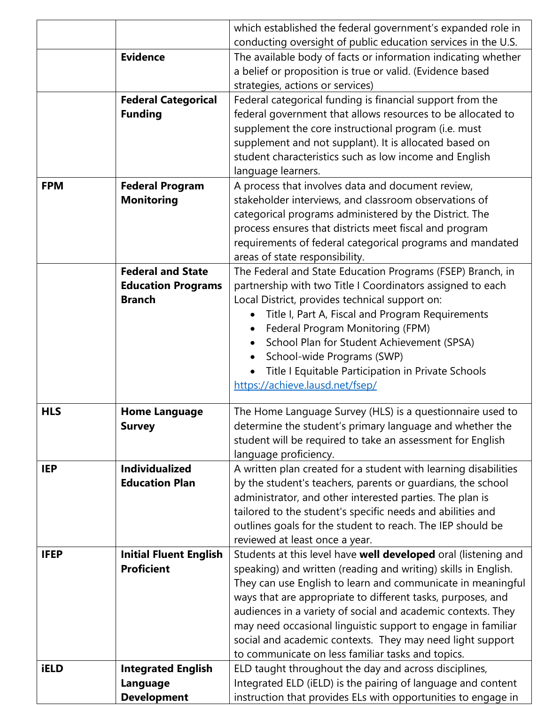|             |                                                    | which established the federal government's expanded role in                                                                      |
|-------------|----------------------------------------------------|----------------------------------------------------------------------------------------------------------------------------------|
|             |                                                    | conducting oversight of public education services in the U.S.                                                                    |
|             | <b>Evidence</b>                                    | The available body of facts or information indicating whether                                                                    |
|             |                                                    | a belief or proposition is true or valid. (Evidence based                                                                        |
|             |                                                    | strategies, actions or services)                                                                                                 |
|             | <b>Federal Categorical</b>                         | Federal categorical funding is financial support from the                                                                        |
|             | <b>Funding</b>                                     | federal government that allows resources to be allocated to                                                                      |
|             |                                                    | supplement the core instructional program (i.e. must                                                                             |
|             |                                                    | supplement and not supplant). It is allocated based on                                                                           |
|             |                                                    | student characteristics such as low income and English                                                                           |
| <b>FPM</b>  |                                                    | language learners.                                                                                                               |
|             | <b>Federal Program</b><br><b>Monitoring</b>        | A process that involves data and document review,<br>stakeholder interviews, and classroom observations of                       |
|             |                                                    | categorical programs administered by the District. The                                                                           |
|             |                                                    | process ensures that districts meet fiscal and program                                                                           |
|             |                                                    | requirements of federal categorical programs and mandated                                                                        |
|             |                                                    | areas of state responsibility.                                                                                                   |
|             | <b>Federal and State</b>                           | The Federal and State Education Programs (FSEP) Branch, in                                                                       |
|             | <b>Education Programs</b>                          | partnership with two Title I Coordinators assigned to each                                                                       |
|             | <b>Branch</b>                                      | Local District, provides technical support on:                                                                                   |
|             |                                                    | Title I, Part A, Fiscal and Program Requirements<br>$\bullet$                                                                    |
|             |                                                    | Federal Program Monitoring (FPM)<br>$\bullet$                                                                                    |
|             |                                                    | School Plan for Student Achievement (SPSA)                                                                                       |
|             |                                                    | School-wide Programs (SWP)                                                                                                       |
|             |                                                    | Title I Equitable Participation in Private Schools                                                                               |
|             |                                                    | https://achieve.lausd.net/fsep/                                                                                                  |
| <b>HLS</b>  | <b>Home Language</b>                               | The Home Language Survey (HLS) is a questionnaire used to                                                                        |
|             | <b>Survey</b>                                      | determine the student's primary language and whether the                                                                         |
|             |                                                    | student will be required to take an assessment for English                                                                       |
|             |                                                    | language proficiency.                                                                                                            |
| <b>IEP</b>  | <b>Individualized</b>                              | A written plan created for a student with learning disabilities                                                                  |
|             | <b>Education Plan</b>                              | by the student's teachers, parents or guardians, the school                                                                      |
|             |                                                    | administrator, and other interested parties. The plan is                                                                         |
|             |                                                    | tailored to the student's specific needs and abilities and                                                                       |
|             |                                                    | outlines goals for the student to reach. The IEP should be                                                                       |
| <b>IFEP</b> |                                                    | reviewed at least once a year.                                                                                                   |
|             | <b>Initial Fluent English</b><br><b>Proficient</b> | Students at this level have well developed oral (listening and<br>speaking) and written (reading and writing) skills in English. |
|             |                                                    | They can use English to learn and communicate in meaningful                                                                      |
|             |                                                    | ways that are appropriate to different tasks, purposes, and                                                                      |
|             |                                                    | audiences in a variety of social and academic contexts. They                                                                     |
|             |                                                    | may need occasional linguistic support to engage in familiar                                                                     |
|             |                                                    | social and academic contexts. They may need light support                                                                        |
|             |                                                    | to communicate on less familiar tasks and topics.                                                                                |
| <b>iELD</b> | <b>Integrated English</b>                          | ELD taught throughout the day and across disciplines,                                                                            |
|             | Language                                           | Integrated ELD (iELD) is the pairing of language and content                                                                     |
|             | <b>Development</b>                                 | instruction that provides ELs with opportunities to engage in                                                                    |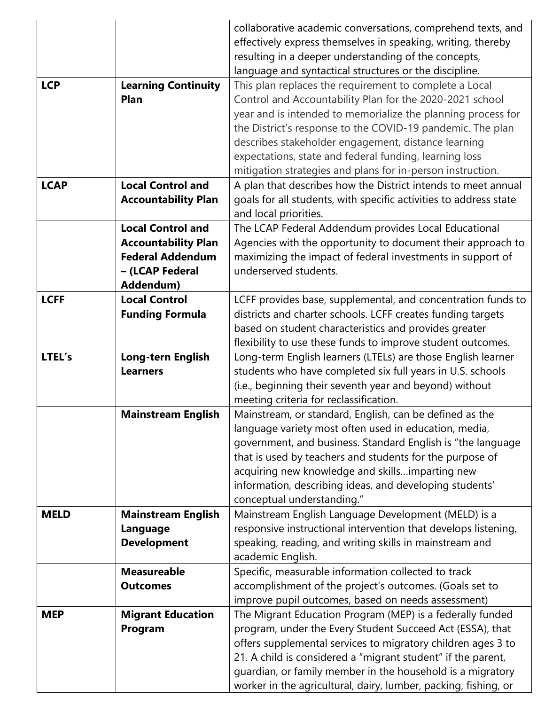|             |                            | collaborative academic conversations, comprehend texts, and       |
|-------------|----------------------------|-------------------------------------------------------------------|
|             |                            | effectively express themselves in speaking, writing, thereby      |
|             |                            | resulting in a deeper understanding of the concepts,              |
|             |                            | language and syntactical structures or the discipline.            |
| <b>LCP</b>  | <b>Learning Continuity</b> | This plan replaces the requirement to complete a Local            |
|             | Plan                       | Control and Accountability Plan for the 2020-2021 school          |
|             |                            | year and is intended to memorialize the planning process for      |
|             |                            | the District's response to the COVID-19 pandemic. The plan        |
|             |                            | describes stakeholder engagement, distance learning               |
|             |                            | expectations, state and federal funding, learning loss            |
|             |                            | mitigation strategies and plans for in-person instruction.        |
| <b>LCAP</b> | <b>Local Control and</b>   | A plan that describes how the District intends to meet annual     |
|             | <b>Accountability Plan</b> | goals for all students, with specific activities to address state |
|             |                            | and local priorities.                                             |
|             | <b>Local Control and</b>   | The LCAP Federal Addendum provides Local Educational              |
|             | <b>Accountability Plan</b> | Agencies with the opportunity to document their approach to       |
|             | <b>Federal Addendum</b>    | maximizing the impact of federal investments in support of        |
|             | - (LCAP Federal            | underserved students.                                             |
|             | Addendum)                  |                                                                   |
| <b>LCFF</b> | <b>Local Control</b>       | LCFF provides base, supplemental, and concentration funds to      |
|             | <b>Funding Formula</b>     | districts and charter schools. LCFF creates funding targets       |
|             |                            | based on student characteristics and provides greater             |
|             |                            | flexibility to use these funds to improve student outcomes.       |
| LTEL's      | <b>Long-tern English</b>   | Long-term English learners (LTELs) are those English learner      |
|             | <b>Learners</b>            | students who have completed six full years in U.S. schools        |
|             |                            | (i.e., beginning their seventh year and beyond) without           |
|             |                            | meeting criteria for reclassification.                            |
|             | <b>Mainstream English</b>  | Mainstream, or standard, English, can be defined as the           |
|             |                            | language variety most often used in education, media,             |
|             |                            | government, and business. Standard English is "the language       |
|             |                            | that is used by teachers and students for the purpose of          |
|             |                            | acquiring new knowledge and skillsimparting new                   |
|             |                            | information, describing ideas, and developing students'           |
|             |                            | conceptual understanding."                                        |
| <b>MELD</b> | <b>Mainstream English</b>  | Mainstream English Language Development (MELD) is a               |
|             | Language                   | responsive instructional intervention that develops listening,    |
|             | <b>Development</b>         | speaking, reading, and writing skills in mainstream and           |
|             |                            | academic English.                                                 |
|             | <b>Measureable</b>         | Specific, measurable information collected to track               |
|             | <b>Outcomes</b>            | accomplishment of the project's outcomes. (Goals set to           |
|             |                            | improve pupil outcomes, based on needs assessment)                |
| <b>MEP</b>  | <b>Migrant Education</b>   | The Migrant Education Program (MEP) is a federally funded         |
|             | Program                    | program, under the Every Student Succeed Act (ESSA), that         |
|             |                            | offers supplemental services to migratory children ages 3 to      |
|             |                            | 21. A child is considered a "migrant student" if the parent,      |
|             |                            |                                                                   |
|             |                            | guardian, or family member in the household is a migratory        |
|             |                            | worker in the agricultural, dairy, lumber, packing, fishing, or   |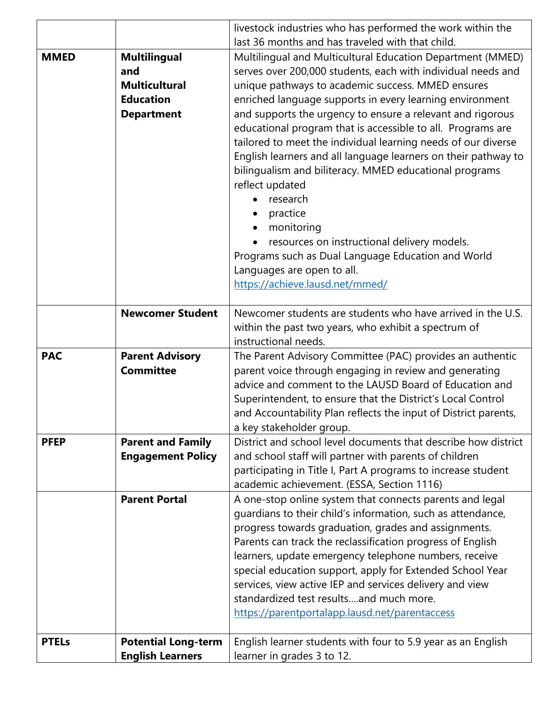| livestock industries who has performed the work within the                                                 |  |
|------------------------------------------------------------------------------------------------------------|--|
| last 36 months and has traveled with that child.                                                           |  |
| <b>MMED</b><br><b>Multilingual</b><br>Multilingual and Multicultural Education Department (MMED)           |  |
| serves over 200,000 students, each with individual needs and<br>and                                        |  |
| unique pathways to academic success. MMED ensures<br><b>Multicultural</b>                                  |  |
| <b>Education</b><br>enriched language supports in every learning environment                               |  |
| and supports the urgency to ensure a relevant and rigorous<br><b>Department</b>                            |  |
| educational program that is accessible to all. Programs are                                                |  |
| tailored to meet the individual learning needs of our diverse                                              |  |
| English learners and all language learners on their pathway to                                             |  |
| bilingualism and biliteracy. MMED educational programs                                                     |  |
| reflect updated                                                                                            |  |
| research                                                                                                   |  |
| practice                                                                                                   |  |
| monitoring                                                                                                 |  |
| resources on instructional delivery models.                                                                |  |
| Programs such as Dual Language Education and World                                                         |  |
| Languages are open to all.                                                                                 |  |
| https://achieve.lausd.net/mmed/                                                                            |  |
| <b>Newcomer Student</b><br>Newcomer students are students who have arrived in the U.S.                     |  |
| within the past two years, who exhibit a spectrum of                                                       |  |
| instructional needs.                                                                                       |  |
| <b>PAC</b><br><b>Parent Advisory</b><br>The Parent Advisory Committee (PAC) provides an authentic          |  |
| <b>Committee</b><br>parent voice through engaging in review and generating                                 |  |
| advice and comment to the LAUSD Board of Education and                                                     |  |
| Superintendent, to ensure that the District's Local Control                                                |  |
| and Accountability Plan reflects the input of District parents,                                            |  |
| a key stakeholder group.                                                                                   |  |
| District and school level documents that describe how district<br><b>PFEP</b><br><b>Parent and Family</b>  |  |
| <b>Engagement Policy</b><br>and school staff will partner with parents of children                         |  |
| participating in Title I, Part A programs to increase student                                              |  |
|                                                                                                            |  |
| academic achievement. (ESSA, Section 1116)                                                                 |  |
| <b>Parent Portal</b><br>A one-stop online system that connects parents and legal                           |  |
| guardians to their child's information, such as attendance,                                                |  |
| progress towards graduation, grades and assignments.                                                       |  |
| Parents can track the reclassification progress of English                                                 |  |
| learners, update emergency telephone numbers, receive                                                      |  |
| special education support, apply for Extended School Year                                                  |  |
| services, view active IEP and services delivery and view                                                   |  |
| standardized test resultsand much more.                                                                    |  |
| https://parentportalapp.lausd.net/parentaccess                                                             |  |
| <b>Potential Long-term</b><br>English learner students with four to 5.9 year as an English<br><b>PTELs</b> |  |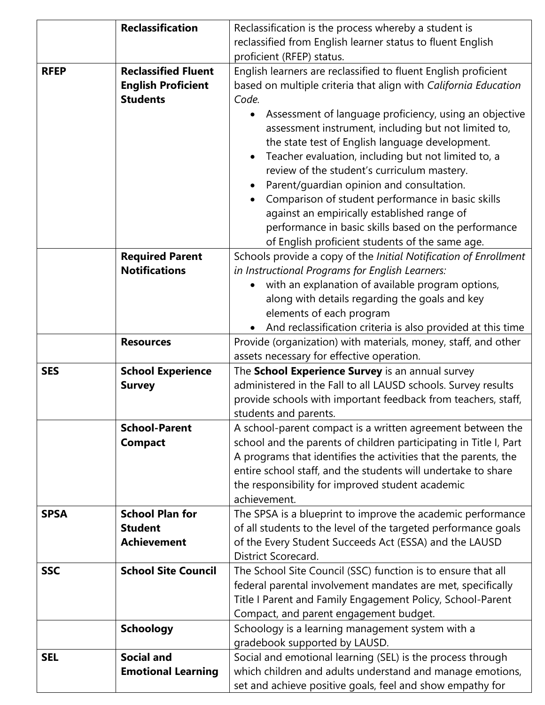|             | <b>Reclassification</b>                                        | Reclassification is the process whereby a student is                                                                                                                                                                                                                                                                                                                                                                                                                                                                                                                       |
|-------------|----------------------------------------------------------------|----------------------------------------------------------------------------------------------------------------------------------------------------------------------------------------------------------------------------------------------------------------------------------------------------------------------------------------------------------------------------------------------------------------------------------------------------------------------------------------------------------------------------------------------------------------------------|
|             |                                                                | reclassified from English learner status to fluent English<br>proficient (RFEP) status.                                                                                                                                                                                                                                                                                                                                                                                                                                                                                    |
| <b>RFEP</b> | <b>Reclassified Fluent</b>                                     |                                                                                                                                                                                                                                                                                                                                                                                                                                                                                                                                                                            |
|             |                                                                | English learners are reclassified to fluent English proficient                                                                                                                                                                                                                                                                                                                                                                                                                                                                                                             |
|             | <b>English Proficient</b><br><b>Students</b>                   | based on multiple criteria that align with California Education<br>Code.                                                                                                                                                                                                                                                                                                                                                                                                                                                                                                   |
|             |                                                                | Assessment of language proficiency, using an objective<br>$\bullet$<br>assessment instrument, including but not limited to,<br>the state test of English language development.<br>Teacher evaluation, including but not limited to, a<br>$\bullet$<br>review of the student's curriculum mastery.<br>Parent/guardian opinion and consultation.<br>$\bullet$<br>Comparison of student performance in basic skills<br>against an empirically established range of<br>performance in basic skills based on the performance<br>of English proficient students of the same age. |
|             | <b>Required Parent</b><br><b>Notifications</b>                 | Schools provide a copy of the Initial Notification of Enrollment<br>in Instructional Programs for English Learners:<br>with an explanation of available program options,<br>$\bullet$<br>along with details regarding the goals and key<br>elements of each program<br>And reclassification criteria is also provided at this time                                                                                                                                                                                                                                         |
|             | <b>Resources</b>                                               | Provide (organization) with materials, money, staff, and other<br>assets necessary for effective operation.                                                                                                                                                                                                                                                                                                                                                                                                                                                                |
| <b>SES</b>  | <b>School Experience</b>                                       | The School Experience Survey is an annual survey                                                                                                                                                                                                                                                                                                                                                                                                                                                                                                                           |
|             | <b>Survey</b>                                                  | administered in the Fall to all LAUSD schools. Survey results<br>provide schools with important feedback from teachers, staff,<br>students and parents.                                                                                                                                                                                                                                                                                                                                                                                                                    |
|             | <b>School-Parent</b><br><b>Compact</b>                         | A school-parent compact is a written agreement between the<br>school and the parents of children participating in Title I, Part<br>A programs that identifies the activities that the parents, the<br>entire school staff, and the students will undertake to share<br>the responsibility for improved student academic<br>achievement.                                                                                                                                                                                                                                    |
| <b>SPSA</b> | <b>School Plan for</b><br><b>Student</b><br><b>Achievement</b> | The SPSA is a blueprint to improve the academic performance<br>of all students to the level of the targeted performance goals<br>of the Every Student Succeeds Act (ESSA) and the LAUSD<br><b>District Scorecard.</b>                                                                                                                                                                                                                                                                                                                                                      |
| <b>SSC</b>  | <b>School Site Council</b>                                     | The School Site Council (SSC) function is to ensure that all<br>federal parental involvement mandates are met, specifically<br>Title I Parent and Family Engagement Policy, School-Parent<br>Compact, and parent engagement budget.                                                                                                                                                                                                                                                                                                                                        |
|             | <b>Schoology</b>                                               | Schoology is a learning management system with a<br>gradebook supported by LAUSD.                                                                                                                                                                                                                                                                                                                                                                                                                                                                                          |
| <b>SEL</b>  | <b>Social and</b><br><b>Emotional Learning</b>                 | Social and emotional learning (SEL) is the process through<br>which children and adults understand and manage emotions,<br>set and achieve positive goals, feel and show empathy for                                                                                                                                                                                                                                                                                                                                                                                       |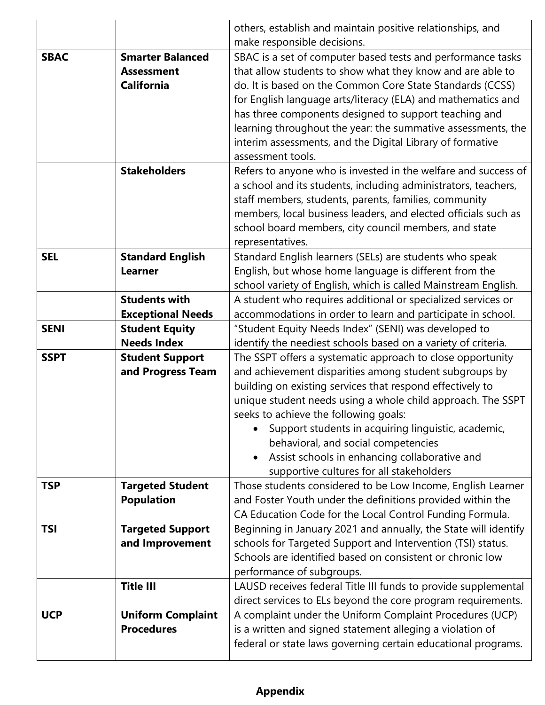|             |                                             | others, establish and maintain positive relationships, and                                                           |
|-------------|---------------------------------------------|----------------------------------------------------------------------------------------------------------------------|
|             |                                             | make responsible decisions.                                                                                          |
| <b>SBAC</b> | <b>Smarter Balanced</b>                     | SBAC is a set of computer based tests and performance tasks                                                          |
|             | <b>Assessment</b>                           | that allow students to show what they know and are able to                                                           |
|             | <b>California</b>                           | do. It is based on the Common Core State Standards (CCSS)                                                            |
|             |                                             | for English language arts/literacy (ELA) and mathematics and                                                         |
|             |                                             | has three components designed to support teaching and                                                                |
|             |                                             | learning throughout the year: the summative assessments, the                                                         |
|             |                                             | interim assessments, and the Digital Library of formative                                                            |
|             |                                             | assessment tools.                                                                                                    |
|             | <b>Stakeholders</b>                         | Refers to anyone who is invested in the welfare and success of                                                       |
|             |                                             | a school and its students, including administrators, teachers,                                                       |
|             |                                             | staff members, students, parents, families, community                                                                |
|             |                                             | members, local business leaders, and elected officials such as                                                       |
|             |                                             | school board members, city council members, and state                                                                |
|             |                                             | representatives.                                                                                                     |
| <b>SEL</b>  | <b>Standard English</b>                     | Standard English learners (SELs) are students who speak                                                              |
|             | <b>Learner</b>                              | English, but whose home language is different from the                                                               |
|             |                                             | school variety of English, which is called Mainstream English.                                                       |
|             | <b>Students with</b>                        | A student who requires additional or specialized services or                                                         |
|             | <b>Exceptional Needs</b>                    | accommodations in order to learn and participate in school.                                                          |
| <b>SENI</b> | <b>Student Equity</b><br><b>Needs Index</b> | "Student Equity Needs Index" (SENI) was developed to                                                                 |
| <b>SSPT</b> |                                             | identify the neediest schools based on a variety of criteria.                                                        |
|             | <b>Student Support</b>                      | The SSPT offers a systematic approach to close opportunity<br>and achievement disparities among student subgroups by |
|             | and Progress Team                           | building on existing services that respond effectively to                                                            |
|             |                                             | unique student needs using a whole child approach. The SSPT                                                          |
|             |                                             | seeks to achieve the following goals:                                                                                |
|             |                                             | Support students in acquiring linguistic, academic,                                                                  |
|             |                                             | behavioral, and social competencies                                                                                  |
|             |                                             | Assist schools in enhancing collaborative and                                                                        |
|             |                                             | supportive cultures for all stakeholders                                                                             |
| <b>TSP</b>  | <b>Targeted Student</b>                     | Those students considered to be Low Income, English Learner                                                          |
|             | <b>Population</b>                           | and Foster Youth under the definitions provided within the                                                           |
|             |                                             | CA Education Code for the Local Control Funding Formula.                                                             |
| <b>TSI</b>  | <b>Targeted Support</b>                     | Beginning in January 2021 and annually, the State will identify                                                      |
|             | and Improvement                             | schools for Targeted Support and Intervention (TSI) status.                                                          |
|             |                                             | Schools are identified based on consistent or chronic low                                                            |
|             |                                             | performance of subgroups.                                                                                            |
|             | <b>Title III</b>                            | LAUSD receives federal Title III funds to provide supplemental                                                       |
|             |                                             | direct services to ELs beyond the core program requirements.                                                         |
| <b>UCP</b>  | <b>Uniform Complaint</b>                    | A complaint under the Uniform Complaint Procedures (UCP)                                                             |
|             | <b>Procedures</b>                           | is a written and signed statement alleging a violation of                                                            |
|             |                                             | federal or state laws governing certain educational programs.                                                        |
|             |                                             |                                                                                                                      |

## **Appendix**